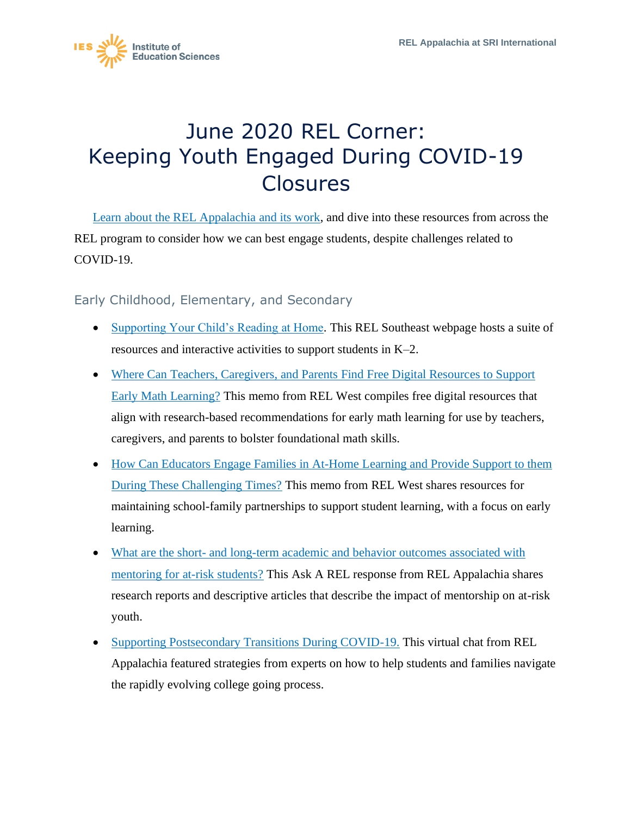

## June 2020 REL Corner: Keeping Youth Engaged During COVID-19 Closures

[Learn about the REL Appalachia and its work,](https://ies.ed.gov/ncee/edlabs/regions/appalachia/) and dive into these resources from across the REL program to consider how we can best engage students, despite challenges related to COVID-19.

Early Childhood, Elementary, and Secondary

- [Supporting Your Child's Reading at Home.](https://ies.ed.gov/ncee/edlabs/regions/southeast/foundations/kindergarten_intro.asp) This REL Southeast webpage hosts a suite of resources and interactive activities to support students in K–2.
- Where Can Teachers, Caregivers, and Parents Find Free Digital Resources to Support [Early Math Learning?](https://ies.ed.gov/ncee/edlabs/regions/west/Publications/Details/278) This memo from REL West compiles free digital resources that align with research-based recommendations for early math learning for use by teachers, caregivers, and parents to bolster foundational math skills.
- How Can Educators Engage Families in At-Home Learning and Provide Support to them [During These Challenging Times?](https://ies.ed.gov/ncee/edlabs/regions/west/relwestFiles/pdf/Distance_Learning_and_Family_Engagement_Announcement_FAQ_FINAL.pdf) This memo from REL West shares resources for maintaining school-family partnerships to support student learning, with a focus on early learning.
- What are the short- and long-term academic and behavior outcomes associated with [mentoring for at-risk students?](https://ies.ed.gov/ncee/edlabs/regions/appalachia/askarel/aar50.asp) This Ask A REL response from REL Appalachia shares research reports and descriptive articles that describe the impact of mentorship on at-risk youth.
- [Supporting Postsecondary Transitions During COVID-19.](https://ies.ed.gov/ncee/edlabs/regions/appalachia/events/event_05-14-20_supporting-postsecondary-transitions-during-COVID-19.asp) This virtual chat from REL Appalachia featured strategies from experts on how to help students and families navigate the rapidly evolving college going process.